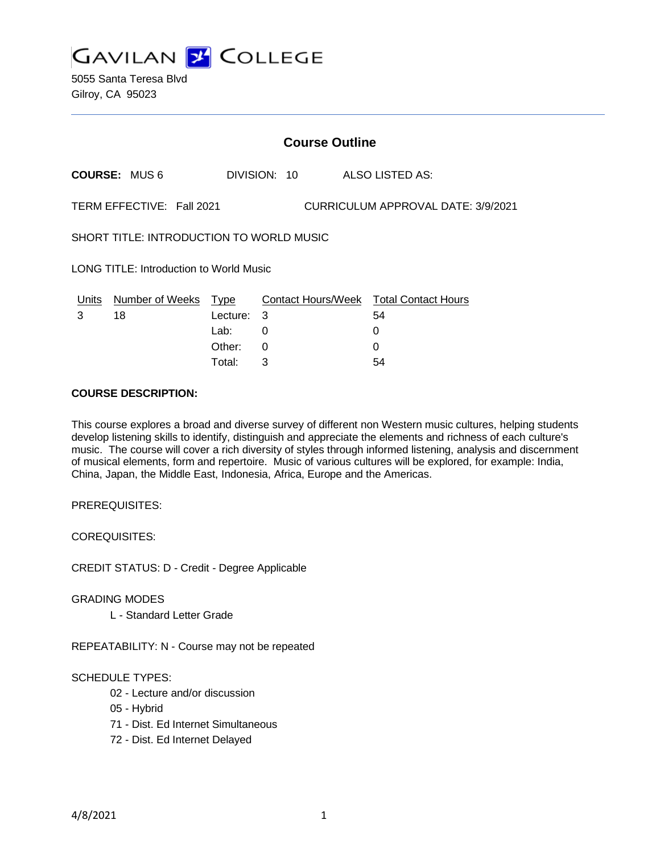

5055 Santa Teresa Blvd Gilroy, CA 95023

| <b>Course Outline</b>                                           |                      |          |              |  |  |                                        |  |
|-----------------------------------------------------------------|----------------------|----------|--------------|--|--|----------------------------------------|--|
|                                                                 | <b>COURSE: MUS 6</b> |          | DIVISION: 10 |  |  | ALSO LISTED AS:                        |  |
| TERM EFFECTIVE: Fall 2021<br>CURRICULUM APPROVAL DATE: 3/9/2021 |                      |          |              |  |  |                                        |  |
| SHORT TITLE: INTRODUCTION TO WORLD MUSIC                        |                      |          |              |  |  |                                        |  |
| <b>LONG TITLE: Introduction to World Music</b>                  |                      |          |              |  |  |                                        |  |
| Units                                                           | Number of Weeks Type |          |              |  |  | Contact Hours/Week Total Contact Hours |  |
| 3                                                               | 18                   | Lecture: | 3            |  |  | 54                                     |  |
|                                                                 |                      | Lab:     | 0            |  |  | 0                                      |  |
|                                                                 |                      | Other:   | 0            |  |  | 0                                      |  |

Total: 3 54

#### **COURSE DESCRIPTION:**

This course explores a broad and diverse survey of different non Western music cultures, helping students develop listening skills to identify, distinguish and appreciate the elements and richness of each culture's music. The course will cover a rich diversity of styles through informed listening, analysis and discernment of musical elements, form and repertoire. Music of various cultures will be explored, for example: India, China, Japan, the Middle East, Indonesia, Africa, Europe and the Americas.

PREREQUISITES:

COREQUISITES:

CREDIT STATUS: D - Credit - Degree Applicable

GRADING MODES

L - Standard Letter Grade

REPEATABILITY: N - Course may not be repeated

# SCHEDULE TYPES:

- 02 Lecture and/or discussion
- 05 Hybrid

71 - Dist. Ed Internet Simultaneous

72 - Dist. Ed Internet Delayed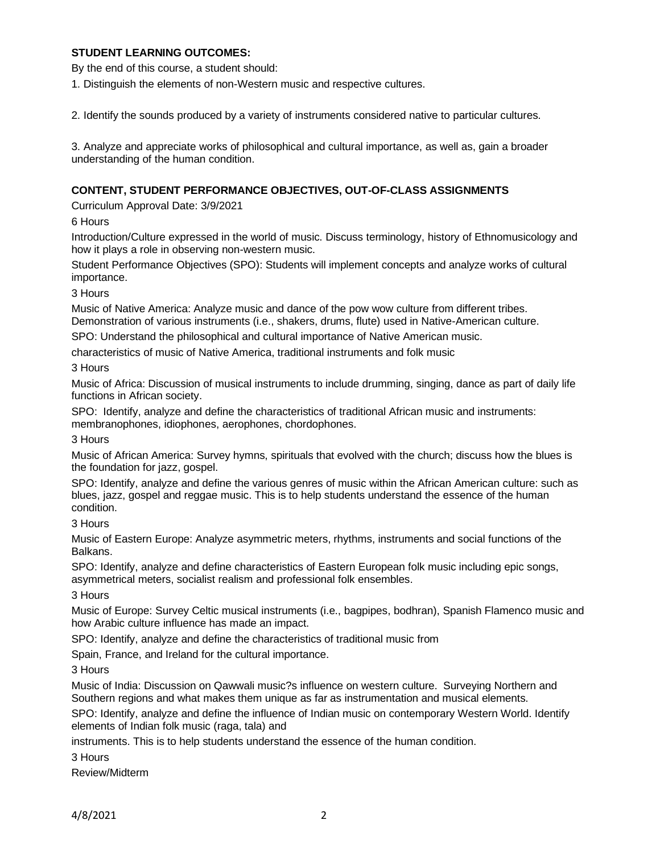## **STUDENT LEARNING OUTCOMES:**

By the end of this course, a student should:

1. Distinguish the elements of non-Western music and respective cultures.

2. Identify the sounds produced by a variety of instruments considered native to particular cultures.

3. Analyze and appreciate works of philosophical and cultural importance, as well as, gain a broader understanding of the human condition.

#### **CONTENT, STUDENT PERFORMANCE OBJECTIVES, OUT-OF-CLASS ASSIGNMENTS**

Curriculum Approval Date: 3/9/2021

6 Hours

Introduction/Culture expressed in the world of music. Discuss terminology, history of Ethnomusicology and how it plays a role in observing non-western music.

Student Performance Objectives (SPO): Students will implement concepts and analyze works of cultural importance.

3 Hours

Music of Native America: Analyze music and dance of the pow wow culture from different tribes. Demonstration of various instruments (i.e., shakers, drums, flute) used in Native-American culture.

SPO: Understand the philosophical and cultural importance of Native American music.

characteristics of music of Native America, traditional instruments and folk music

3 Hours

Music of Africa: Discussion of musical instruments to include drumming, singing, dance as part of daily life functions in African society.

SPO: Identify, analyze and define the characteristics of traditional African music and instruments: membranophones, idiophones, aerophones, chordophones.

3 Hours

Music of African America: Survey hymns, spirituals that evolved with the church; discuss how the blues is the foundation for jazz, gospel.

SPO: Identify, analyze and define the various genres of music within the African American culture: such as blues, jazz, gospel and reggae music. This is to help students understand the essence of the human condition.

3 Hours

Music of Eastern Europe: Analyze asymmetric meters, rhythms, instruments and social functions of the Balkans.

SPO: Identify, analyze and define characteristics of Eastern European folk music including epic songs, asymmetrical meters, socialist realism and professional folk ensembles.

3 Hours

Music of Europe: Survey Celtic musical instruments (i.e., bagpipes, bodhran), Spanish Flamenco music and how Arabic culture influence has made an impact.

SPO: Identify, analyze and define the characteristics of traditional music from

Spain, France, and Ireland for the cultural importance.

3 Hours

Music of India: Discussion on Qawwali music?s influence on western culture. Surveying Northern and Southern regions and what makes them unique as far as instrumentation and musical elements.

SPO: Identify, analyze and define the influence of Indian music on contemporary Western World. Identify elements of Indian folk music (raga, tala) and

instruments. This is to help students understand the essence of the human condition.

3 Hours

Review/Midterm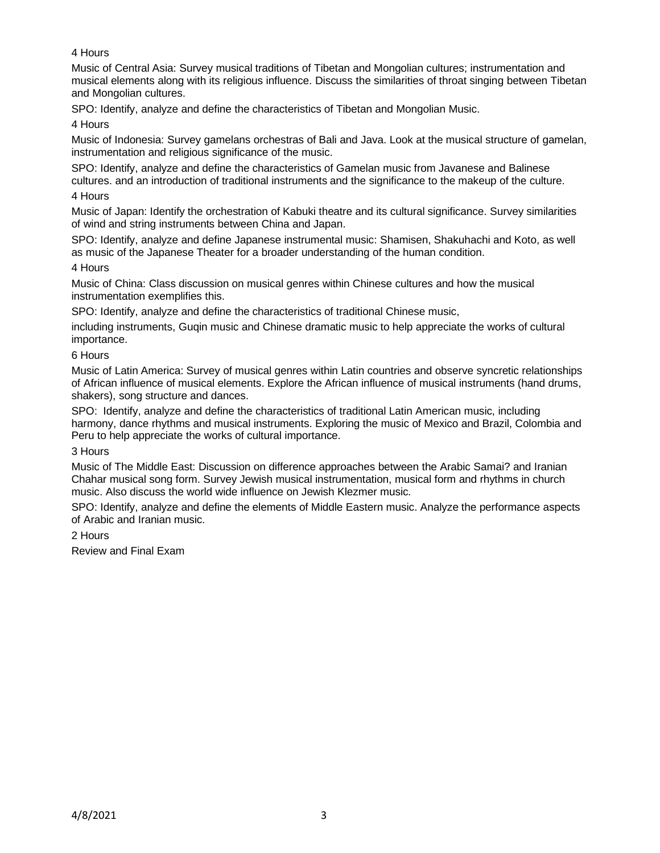# 4 Hours

Music of Central Asia: Survey musical traditions of Tibetan and Mongolian cultures; instrumentation and musical elements along with its religious influence. Discuss the similarities of throat singing between Tibetan and Mongolian cultures.

SPO: Identify, analyze and define the characteristics of Tibetan and Mongolian Music.

4 Hours

Music of Indonesia: Survey gamelans orchestras of Bali and Java. Look at the musical structure of gamelan, instrumentation and religious significance of the music.

SPO: Identify, analyze and define the characteristics of Gamelan music from Javanese and Balinese cultures. and an introduction of traditional instruments and the significance to the makeup of the culture. 4 Hours

Music of Japan: Identify the orchestration of Kabuki theatre and its cultural significance. Survey similarities of wind and string instruments between China and Japan.

SPO: Identify, analyze and define Japanese instrumental music: Shamisen, Shakuhachi and Koto, as well as music of the Japanese Theater for a broader understanding of the human condition.

## 4 Hours

Music of China: Class discussion on musical genres within Chinese cultures and how the musical instrumentation exemplifies this.

SPO: Identify, analyze and define the characteristics of traditional Chinese music,

including instruments, Guqin music and Chinese dramatic music to help appreciate the works of cultural importance.

## 6 Hours

Music of Latin America: Survey of musical genres within Latin countries and observe syncretic relationships of African influence of musical elements. Explore the African influence of musical instruments (hand drums, shakers), song structure and dances.

SPO: Identify, analyze and define the characteristics of traditional Latin American music, including harmony, dance rhythms and musical instruments. Exploring the music of Mexico and Brazil, Colombia and Peru to help appreciate the works of cultural importance.

## 3 Hours

Music of The Middle East: Discussion on difference approaches between the Arabic Samai? and Iranian Chahar musical song form. Survey Jewish musical instrumentation, musical form and rhythms in church music. Also discuss the world wide influence on Jewish Klezmer music.

SPO: Identify, analyze and define the elements of Middle Eastern music. Analyze the performance aspects of Arabic and Iranian music.

2 Hours

Review and Final Exam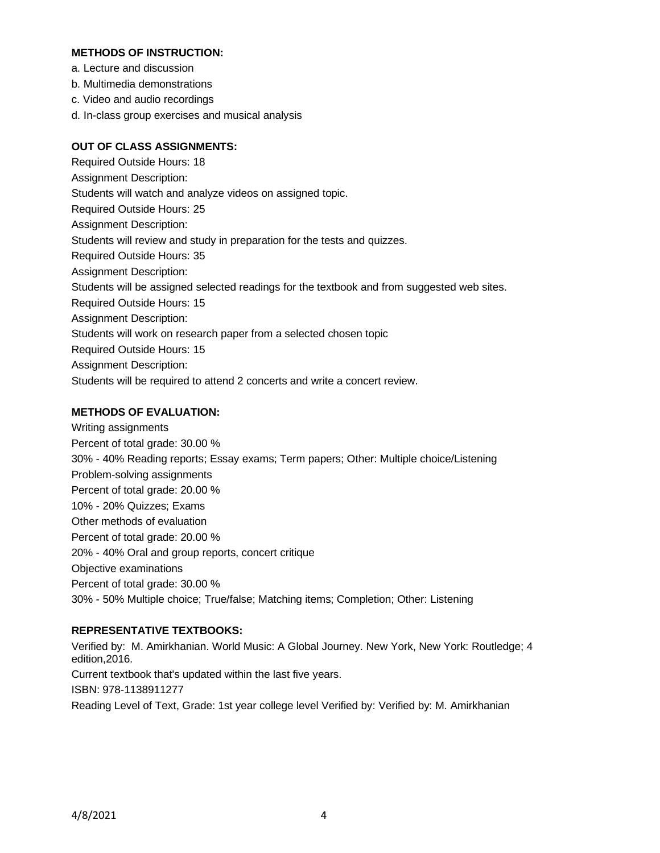### **METHODS OF INSTRUCTION:**

- a. Lecture and discussion
- b. Multimedia demonstrations
- c. Video and audio recordings
- d. In-class group exercises and musical analysis

# **OUT OF CLASS ASSIGNMENTS:**

Required Outside Hours: 18 Assignment Description: Students will watch and analyze videos on assigned topic. Required Outside Hours: 25 Assignment Description: Students will review and study in preparation for the tests and quizzes. Required Outside Hours: 35 Assignment Description: Students will be assigned selected readings for the textbook and from suggested web sites. Required Outside Hours: 15 Assignment Description: Students will work on research paper from a selected chosen topic Required Outside Hours: 15 Assignment Description: Students will be required to attend 2 concerts and write a concert review.

# **METHODS OF EVALUATION:**

Writing assignments Percent of total grade: 30.00 % 30% - 40% Reading reports; Essay exams; Term papers; Other: Multiple choice/Listening Problem-solving assignments Percent of total grade: 20.00 % 10% - 20% Quizzes; Exams Other methods of evaluation Percent of total grade: 20.00 % 20% - 40% Oral and group reports, concert critique Objective examinations Percent of total grade: 30.00 % 30% - 50% Multiple choice; True/false; Matching items; Completion; Other: Listening

## **REPRESENTATIVE TEXTBOOKS:**

Verified by: M. Amirkhanian. World Music: A Global Journey. New York, New York: Routledge; 4 edition,2016. Current textbook that's updated within the last five years. ISBN: 978-1138911277 Reading Level of Text, Grade: 1st year college level Verified by: Verified by: M. Amirkhanian